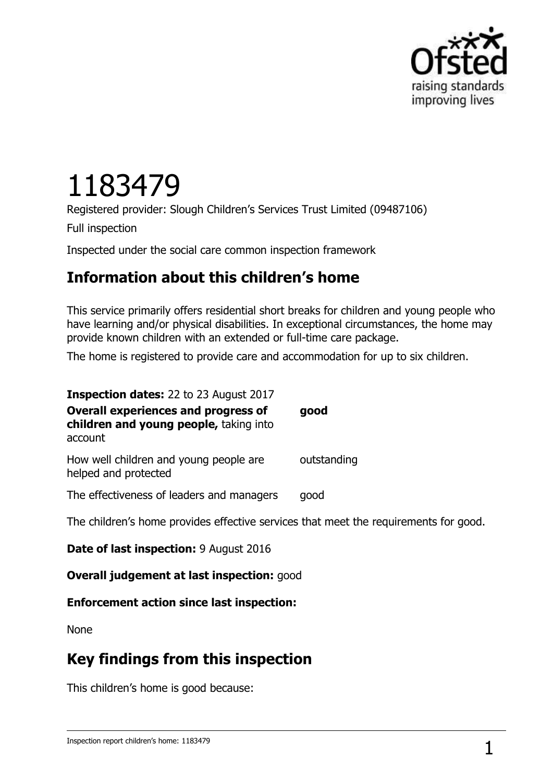

# 1183479

Registered provider: Slough Children's Services Trust Limited (09487106)

Full inspection

Inspected under the social care common inspection framework

## **Information about this children's home**

This service primarily offers residential short breaks for children and young people who have learning and/or physical disabilities. In exceptional circumstances, the home may provide known children with an extended or full-time care package.

The home is registered to provide care and accommodation for up to six children.

| <b>Inspection dates: 22 to 23 August 2017</b>                                                   |             |
|-------------------------------------------------------------------------------------------------|-------------|
| <b>Overall experiences and progress of</b><br>children and young people, taking into<br>account | good        |
| How well children and young people are<br>helped and protected                                  | outstanding |
| The effectiveness of leaders and managers                                                       | good        |
| The children's home provides effective services that meet the requirements for good.            |             |

**Date of last inspection:** 9 August 2016

**Overall judgement at last inspection:** good

#### **Enforcement action since last inspection:**

None

## **Key findings from this inspection**

This children's home is good because: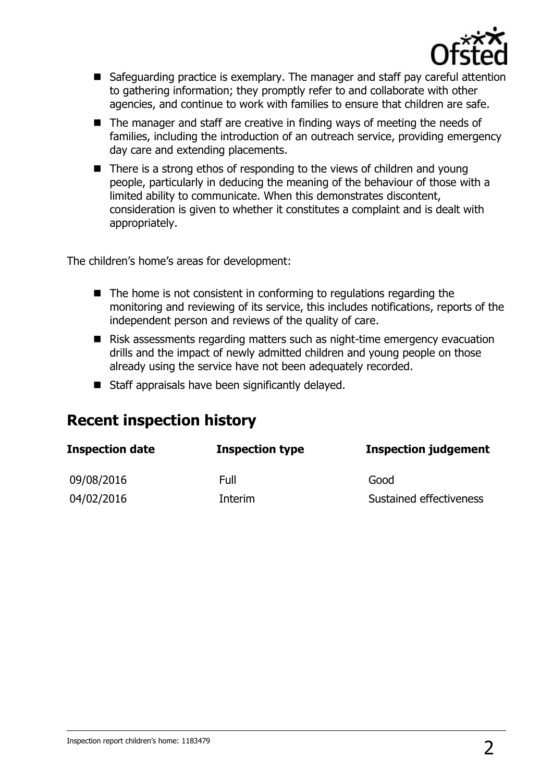

- Safeguarding practice is exemplary. The manager and staff pay careful attention to gathering information; they promptly refer to and collaborate with other agencies, and continue to work with families to ensure that children are safe.
- The manager and staff are creative in finding ways of meeting the needs of families, including the introduction of an outreach service, providing emergency day care and extending placements.
- There is a strong ethos of responding to the views of children and young people, particularly in deducing the meaning of the behaviour of those with a limited ability to communicate. When this demonstrates discontent, consideration is given to whether it constitutes a complaint and is dealt with appropriately.

The children's home's areas for development:

- $\blacksquare$  The home is not consistent in conforming to regulations regarding the monitoring and reviewing of its service, this includes notifications, reports of the independent person and reviews of the quality of care.
- Risk assessments regarding matters such as night-time emergency evacuation drills and the impact of newly admitted children and young people on those already using the service have not been adequately recorded.
- Staff appraisals have been significantly delayed.

## **Recent inspection history**

| <b>Inspection date</b> | <b>Inspection type</b> | <b>Inspection judgement</b> |
|------------------------|------------------------|-----------------------------|
| 09/08/2016             | Full                   | Good                        |
| 04/02/2016             | Interim                | Sustained effectiveness     |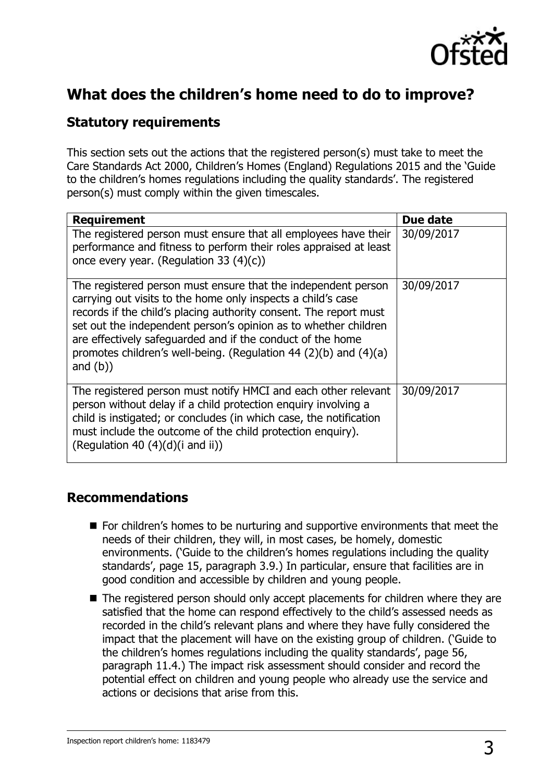

## **What does the children's home need to do to improve?**

#### **Statutory requirements**

This section sets out the actions that the registered person(s) must take to meet the Care Standards Act 2000, Children's Homes (England) Regulations 2015 and the 'Guide to the children's homes regulations including the quality standards'. The registered person(s) must comply within the given timescales.

| <b>Requirement</b>                                                                                                                                                                                                                                                                                                                                                                                                     | Due date   |
|------------------------------------------------------------------------------------------------------------------------------------------------------------------------------------------------------------------------------------------------------------------------------------------------------------------------------------------------------------------------------------------------------------------------|------------|
| The registered person must ensure that all employees have their<br>performance and fitness to perform their roles appraised at least<br>once every year. (Regulation 33 $(4)(c)$ )                                                                                                                                                                                                                                     | 30/09/2017 |
| The registered person must ensure that the independent person<br>carrying out visits to the home only inspects a child's case<br>records if the child's placing authority consent. The report must<br>set out the independent person's opinion as to whether children<br>are effectively safequarded and if the conduct of the home<br>promotes children's well-being. (Regulation 44 (2)(b) and (4)(a)<br>and $(b)$ ) | 30/09/2017 |
| The registered person must notify HMCI and each other relevant<br>person without delay if a child protection enquiry involving a<br>child is instigated; or concludes (in which case, the notification<br>must include the outcome of the child protection enquiry).<br>(Regulation 40 $(4)(d)(i$ and ii))                                                                                                             | 30/09/2017 |

#### **Recommendations**

- For children's homes to be nurturing and supportive environments that meet the needs of their children, they will, in most cases, be homely, domestic environments. ('Guide to the children's homes regulations including the quality standards', page 15, paragraph 3.9.) In particular, ensure that facilities are in good condition and accessible by children and young people.
- The registered person should only accept placements for children where they are satisfied that the home can respond effectively to the child's assessed needs as recorded in the child's relevant plans and where they have fully considered the impact that the placement will have on the existing group of children. ('Guide to the children's homes regulations including the quality standards', page 56, paragraph 11.4.) The impact risk assessment should consider and record the potential effect on children and young people who already use the service and actions or decisions that arise from this.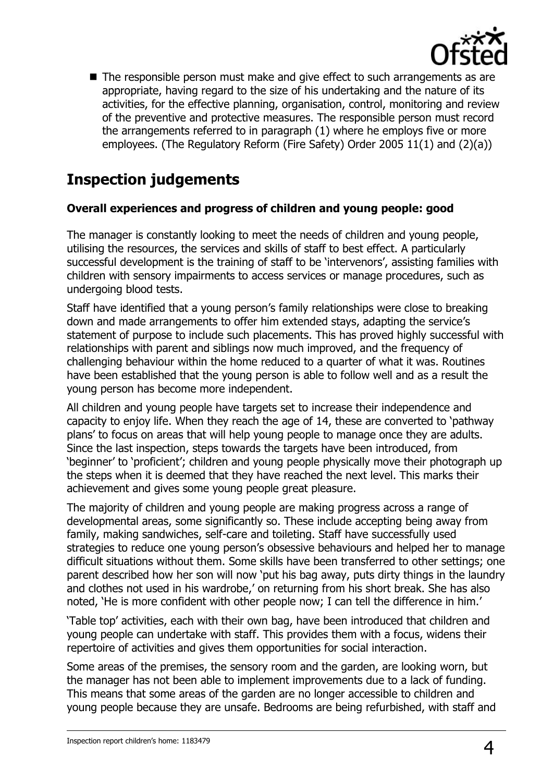

The responsible person must make and give effect to such arrangements as are appropriate, having regard to the size of his undertaking and the nature of its activities, for the effective planning, organisation, control, monitoring and review of the preventive and protective measures. The responsible person must record the arrangements referred to in paragraph (1) where he employs five or more employees. (The Regulatory Reform (Fire Safety) Order 2005 11(1) and (2)(a))

## **Inspection judgements**

#### **Overall experiences and progress of children and young people: good**

The manager is constantly looking to meet the needs of children and young people, utilising the resources, the services and skills of staff to best effect. A particularly successful development is the training of staff to be 'intervenors', assisting families with children with sensory impairments to access services or manage procedures, such as undergoing blood tests.

Staff have identified that a young person's family relationships were close to breaking down and made arrangements to offer him extended stays, adapting the service's statement of purpose to include such placements. This has proved highly successful with relationships with parent and siblings now much improved, and the frequency of challenging behaviour within the home reduced to a quarter of what it was. Routines have been established that the young person is able to follow well and as a result the young person has become more independent.

All children and young people have targets set to increase their independence and capacity to enjoy life. When they reach the age of 14, these are converted to 'pathway plans' to focus on areas that will help young people to manage once they are adults. Since the last inspection, steps towards the targets have been introduced, from 'beginner' to 'proficient'; children and young people physically move their photograph up the steps when it is deemed that they have reached the next level. This marks their achievement and gives some young people great pleasure.

The majority of children and young people are making progress across a range of developmental areas, some significantly so. These include accepting being away from family, making sandwiches, self-care and toileting. Staff have successfully used strategies to reduce one young person's obsessive behaviours and helped her to manage difficult situations without them. Some skills have been transferred to other settings; one parent described how her son will now 'put his bag away, puts dirty things in the laundry and clothes not used in his wardrobe,' on returning from his short break. She has also noted, 'He is more confident with other people now; I can tell the difference in him.'

'Table top' activities, each with their own bag, have been introduced that children and young people can undertake with staff. This provides them with a focus, widens their repertoire of activities and gives them opportunities for social interaction.

Some areas of the premises, the sensory room and the garden, are looking worn, but the manager has not been able to implement improvements due to a lack of funding. This means that some areas of the garden are no longer accessible to children and young people because they are unsafe. Bedrooms are being refurbished, with staff and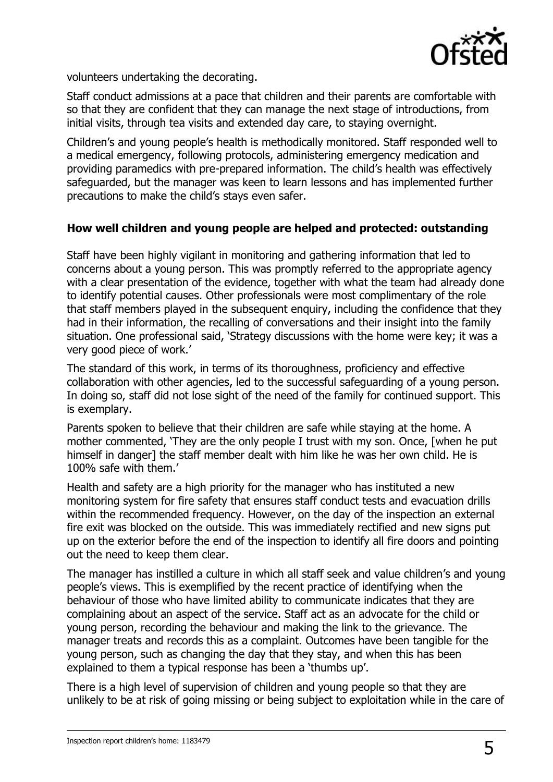

volunteers undertaking the decorating.

Staff conduct admissions at a pace that children and their parents are comfortable with so that they are confident that they can manage the next stage of introductions, from initial visits, through tea visits and extended day care, to staying overnight.

Children's and young people's health is methodically monitored. Staff responded well to a medical emergency, following protocols, administering emergency medication and providing paramedics with pre-prepared information. The child's health was effectively safeguarded, but the manager was keen to learn lessons and has implemented further precautions to make the child's stays even safer.

#### **How well children and young people are helped and protected: outstanding**

Staff have been highly vigilant in monitoring and gathering information that led to concerns about a young person. This was promptly referred to the appropriate agency with a clear presentation of the evidence, together with what the team had already done to identify potential causes. Other professionals were most complimentary of the role that staff members played in the subsequent enquiry, including the confidence that they had in their information, the recalling of conversations and their insight into the family situation. One professional said, 'Strategy discussions with the home were key; it was a very good piece of work.'

The standard of this work, in terms of its thoroughness, proficiency and effective collaboration with other agencies, led to the successful safeguarding of a young person. In doing so, staff did not lose sight of the need of the family for continued support. This is exemplary.

Parents spoken to believe that their children are safe while staying at the home. A mother commented, 'They are the only people I trust with my son. Once, [when he put himself in danger] the staff member dealt with him like he was her own child. He is 100% safe with them.'

Health and safety are a high priority for the manager who has instituted a new monitoring system for fire safety that ensures staff conduct tests and evacuation drills within the recommended frequency. However, on the day of the inspection an external fire exit was blocked on the outside. This was immediately rectified and new signs put up on the exterior before the end of the inspection to identify all fire doors and pointing out the need to keep them clear.

The manager has instilled a culture in which all staff seek and value children's and young people's views. This is exemplified by the recent practice of identifying when the behaviour of those who have limited ability to communicate indicates that they are complaining about an aspect of the service. Staff act as an advocate for the child or young person, recording the behaviour and making the link to the grievance. The manager treats and records this as a complaint. Outcomes have been tangible for the young person, such as changing the day that they stay, and when this has been explained to them a typical response has been a 'thumbs up'.

There is a high level of supervision of children and young people so that they are unlikely to be at risk of going missing or being subject to exploitation while in the care of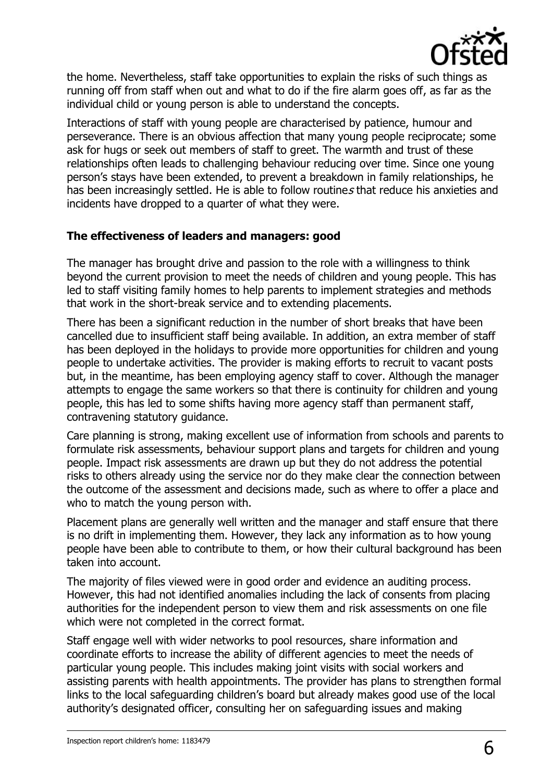

the home. Nevertheless, staff take opportunities to explain the risks of such things as running off from staff when out and what to do if the fire alarm goes off, as far as the individual child or young person is able to understand the concepts.

Interactions of staff with young people are characterised by patience, humour and perseverance. There is an obvious affection that many young people reciprocate; some ask for hugs or seek out members of staff to greet. The warmth and trust of these relationships often leads to challenging behaviour reducing over time. Since one young person's stays have been extended, to prevent a breakdown in family relationships, he has been increasingly settled. He is able to follow routines that reduce his anxieties and incidents have dropped to a quarter of what they were.

#### **The effectiveness of leaders and managers: good**

The manager has brought drive and passion to the role with a willingness to think beyond the current provision to meet the needs of children and young people. This has led to staff visiting family homes to help parents to implement strategies and methods that work in the short-break service and to extending placements.

There has been a significant reduction in the number of short breaks that have been cancelled due to insufficient staff being available. In addition, an extra member of staff has been deployed in the holidays to provide more opportunities for children and young people to undertake activities. The provider is making efforts to recruit to vacant posts but, in the meantime, has been employing agency staff to cover. Although the manager attempts to engage the same workers so that there is continuity for children and young people, this has led to some shifts having more agency staff than permanent staff, contravening statutory guidance.

Care planning is strong, making excellent use of information from schools and parents to formulate risk assessments, behaviour support plans and targets for children and young people. Impact risk assessments are drawn up but they do not address the potential risks to others already using the service nor do they make clear the connection between the outcome of the assessment and decisions made, such as where to offer a place and who to match the young person with.

Placement plans are generally well written and the manager and staff ensure that there is no drift in implementing them. However, they lack any information as to how young people have been able to contribute to them, or how their cultural background has been taken into account.

The majority of files viewed were in good order and evidence an auditing process. However, this had not identified anomalies including the lack of consents from placing authorities for the independent person to view them and risk assessments on one file which were not completed in the correct format.

Staff engage well with wider networks to pool resources, share information and coordinate efforts to increase the ability of different agencies to meet the needs of particular young people. This includes making joint visits with social workers and assisting parents with health appointments. The provider has plans to strengthen formal links to the local safeguarding children's board but already makes good use of the local authority's designated officer, consulting her on safeguarding issues and making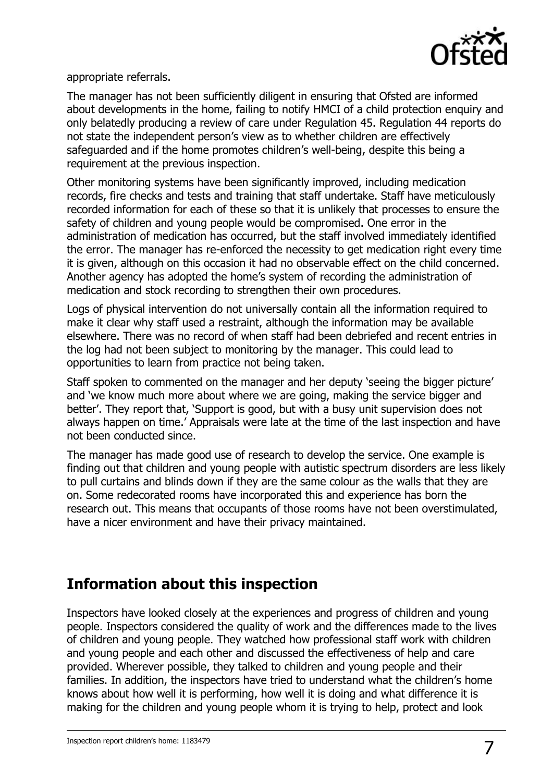

appropriate referrals.

The manager has not been sufficiently diligent in ensuring that Ofsted are informed about developments in the home, failing to notify HMCI of a child protection enquiry and only belatedly producing a review of care under Regulation 45. Regulation 44 reports do not state the independent person's view as to whether children are effectively safeguarded and if the home promotes children's well-being, despite this being a requirement at the previous inspection.

Other monitoring systems have been significantly improved, including medication records, fire checks and tests and training that staff undertake. Staff have meticulously recorded information for each of these so that it is unlikely that processes to ensure the safety of children and young people would be compromised. One error in the administration of medication has occurred, but the staff involved immediately identified the error. The manager has re-enforced the necessity to get medication right every time it is given, although on this occasion it had no observable effect on the child concerned. Another agency has adopted the home's system of recording the administration of medication and stock recording to strengthen their own procedures.

Logs of physical intervention do not universally contain all the information required to make it clear why staff used a restraint, although the information may be available elsewhere. There was no record of when staff had been debriefed and recent entries in the log had not been subject to monitoring by the manager. This could lead to opportunities to learn from practice not being taken.

Staff spoken to commented on the manager and her deputy 'seeing the bigger picture' and 'we know much more about where we are going, making the service bigger and better'. They report that, 'Support is good, but with a busy unit supervision does not always happen on time.' Appraisals were late at the time of the last inspection and have not been conducted since.

The manager has made good use of research to develop the service. One example is finding out that children and young people with autistic spectrum disorders are less likely to pull curtains and blinds down if they are the same colour as the walls that they are on. Some redecorated rooms have incorporated this and experience has born the research out. This means that occupants of those rooms have not been overstimulated, have a nicer environment and have their privacy maintained.

## **Information about this inspection**

Inspectors have looked closely at the experiences and progress of children and young people. Inspectors considered the quality of work and the differences made to the lives of children and young people. They watched how professional staff work with children and young people and each other and discussed the effectiveness of help and care provided. Wherever possible, they talked to children and young people and their families. In addition, the inspectors have tried to understand what the children's home knows about how well it is performing, how well it is doing and what difference it is making for the children and young people whom it is trying to help, protect and look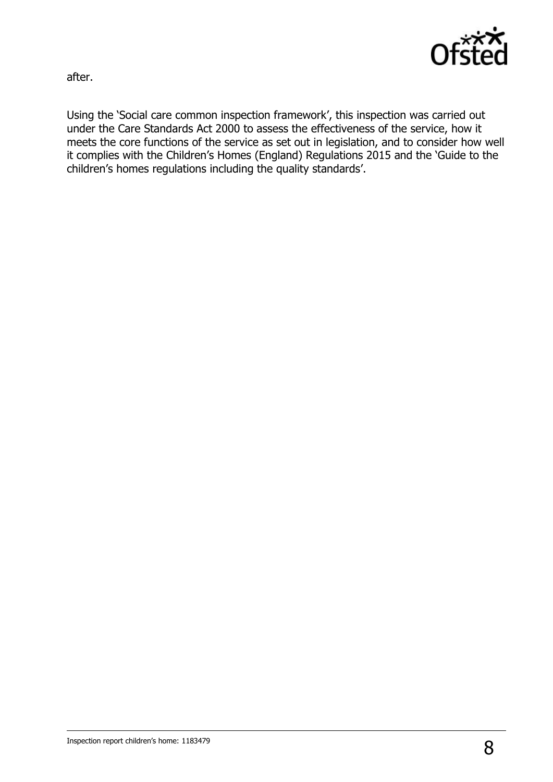

after.

Using the 'Social care common inspection framework', this inspection was carried out under the Care Standards Act 2000 to assess the effectiveness of the service, how it meets the core functions of the service as set out in legislation, and to consider how well it complies with the Children's Homes (England) Regulations 2015 and the 'Guide to the children's homes regulations including the quality standards'.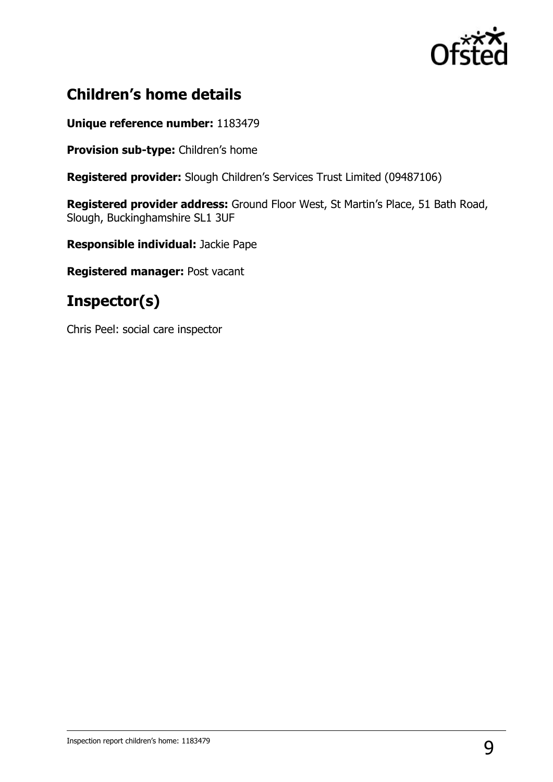

# **Children's home details**

#### **Unique reference number:** 1183479

**Provision sub-type:** Children's home

**Registered provider:** Slough Children's Services Trust Limited (09487106)

**Registered provider address:** Ground Floor West, St Martin's Place, 51 Bath Road, Slough, Buckinghamshire SL1 3UF

**Responsible individual:** Jackie Pape

**Registered manager:** Post vacant

## **Inspector(s)**

Chris Peel: social care inspector